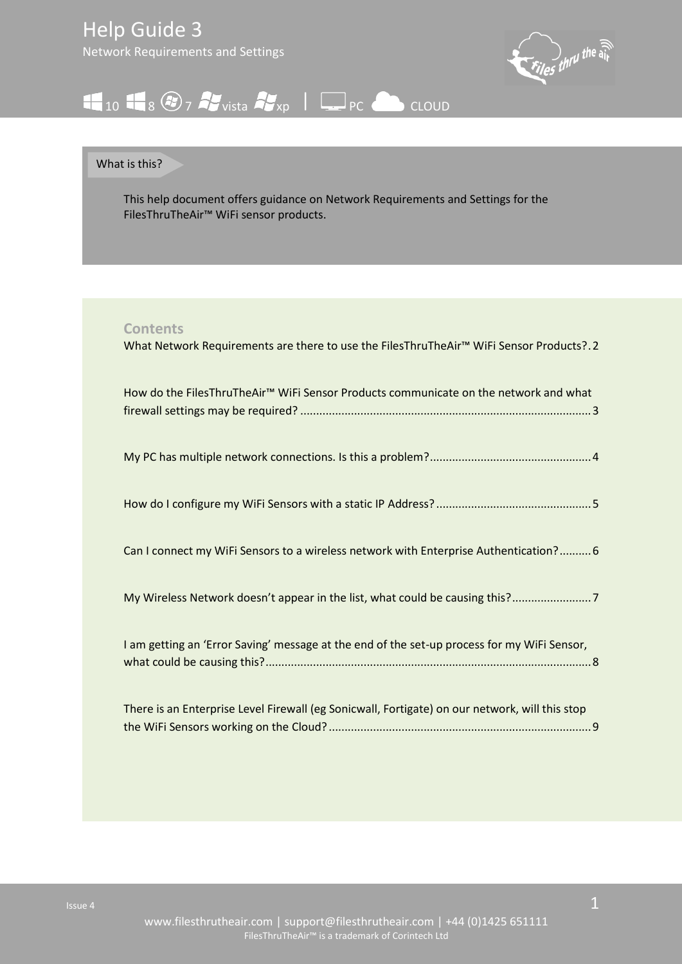

# <span id="page-0-0"></span> $10$   $10$   $8$   $9$   $7$   $4$  vista  $4$   $_{xp}$   $|$   $\Box$  PC  $\triangle$  CLOUD

## What is this?

This help document offers guidance on Network Requirements and Settings for the FilesThruTheAir™ WiFi sensor products.

## **Contents**

| What Network Requirements are there to use the FilesThruTheAir <sup>™</sup> WiFi Sensor Products?.2 |
|-----------------------------------------------------------------------------------------------------|
| How do the FilesThruTheAir™ WiFi Sensor Products communicate on the network and what                |
|                                                                                                     |
|                                                                                                     |
| Can I connect my WiFi Sensors to a wireless network with Enterprise Authentication? 6               |
| My Wireless Network doesn't appear in the list, what could be causing this?                         |
| I am getting an 'Error Saving' message at the end of the set-up process for my WiFi Sensor,         |
| There is an Enterprise Level Firewall (eg Sonicwall, Fortigate) on our network, will this stop      |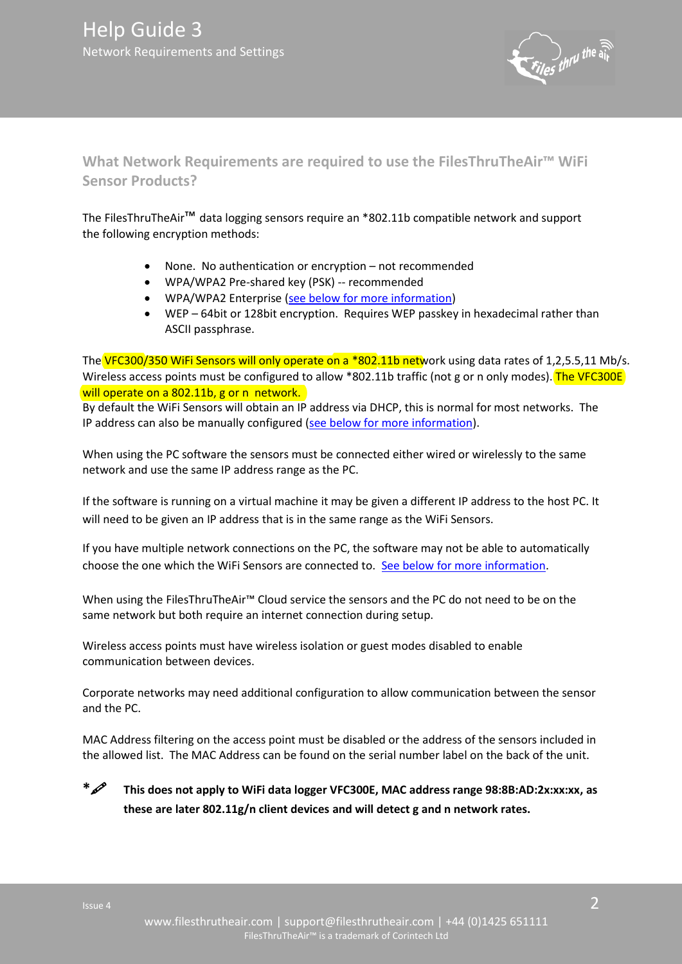

<span id="page-1-0"></span>**What Network Requirements are required to use the FilesThruTheAir™ WiFi Sensor Products?** 

The FilesThruTheAir™ data logging sensors require an \*802.11b compatible network and support the following encryption methods:

- None. No authentication or encryption not recommended
- WPA/WPA2 Pre-shared key (PSK) -- recommended
- WPA/WPA2 Enterprise [\(see below for more information\)](#page-5-1)
- WEP 64bit or 128bit encryption. Requires WEP passkey in hexadecimal rather than ASCII passphrase.

The VFC300/350 WiFi Sensors will only operate on a \*802.11b network using data rates of 1,2,5.5,11 Mb/s. Wireless access points must be configured to allow \*802.11b traffic (not g or n only modes). The VFC300E will operate on a 802.11b, g or n network.

By default the WiFi Sensors will obtain an IP address via DHCP, this is normal for most networks. The IP address can also be manually configured [\(see below for more information\)](#page-3-1).

When using the PC software the sensors must be connected either wired or wirelessly to the same network and use the same IP address range as the PC.

If the software is running on a virtual machine it may be given a different IP address to the host PC. It will need to be given an IP address that is in the same range as the WiFi Sensors.

If you have multiple network connections on the PC, the software may not be able to automatically choose the one which the WiFi Sensors are connected to. [See below for more information.](#page-2-1)

When using the FilesThruTheAir™ Cloud service the sensors and the PC do not need to be on the same network but both require an internet connection during setup.

Wireless access points must have wireless isolation or guest modes disabled to enable communication between devices.

Corporate networks may need additional configuration to allow communication between the sensor and the PC.

MAC Address filtering on the access point must be disabled or the address of the sensors included in the allowed list. The MAC Address can be found on the serial number label on the back of the unit.

**\* This does not apply to WiFi data logger VFC300E, MAC address range 98:8B:AD:2x:xx:xx, as these are later 802.11g/n client devices and will detect g and n network rates.**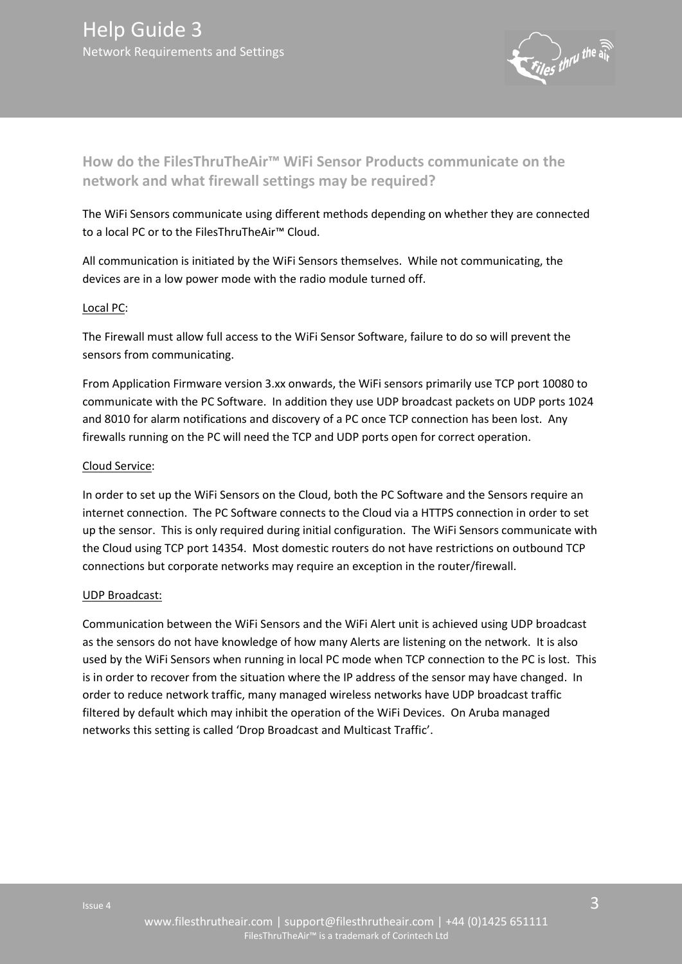

<span id="page-2-0"></span>**How do the FilesThruTheAir™ WiFi Sensor Products communicate on the network and what firewall settings may be required?** 

The WiFi Sensors communicate using different methods depending on whether they are connected to a local PC or to the FilesThruTheAir™ Cloud.

All communication is initiated by the WiFi Sensors themselves. While not communicating, the devices are in a low power mode with the radio module turned off.

#### Local PC:

The Firewall must allow full access to the WiFi Sensor Software, failure to do so will prevent the sensors from communicating.

From Application Firmware version 3.xx onwards, the WiFi sensors primarily use TCP port 10080 to communicate with the PC Software. In addition they use UDP broadcast packets on UDP ports 1024 and 8010 for alarm notifications and discovery of a PC once TCP connection has been lost. Any firewalls running on the PC will need the TCP and UDP ports open for correct operation.

## Cloud Service:

In order to set up the WiFi Sensors on the Cloud, both the PC Software and the Sensors require an internet connection. The PC Software connects to the Cloud via a HTTPS connection in order to set up the sensor. This is only required during initial configuration. The WiFi Sensors communicate with the Cloud using TCP port 14354. Most domestic routers do not have restrictions on outbound TCP connections but corporate networks may require an exception in the router/firewall.

#### UDP Broadcast:

<span id="page-2-1"></span>Communication between the WiFi Sensors and the WiFi Alert unit is achieved using UDP broadcast as the sensors do not have knowledge of how many Alerts are listening on the network. It is also used by the WiFi Sensors when running in local PC mode when TCP connection to the PC is lost. This is in order to recover from the situation where the IP address of the sensor may have changed. In order to reduce network traffic, many managed wireless networks have UDP broadcast traffic filtered by default which may inhibit the operation of the WiFi Devices. On Aruba managed networks this setting is called 'Drop Broadcast and Multicast Traffic'.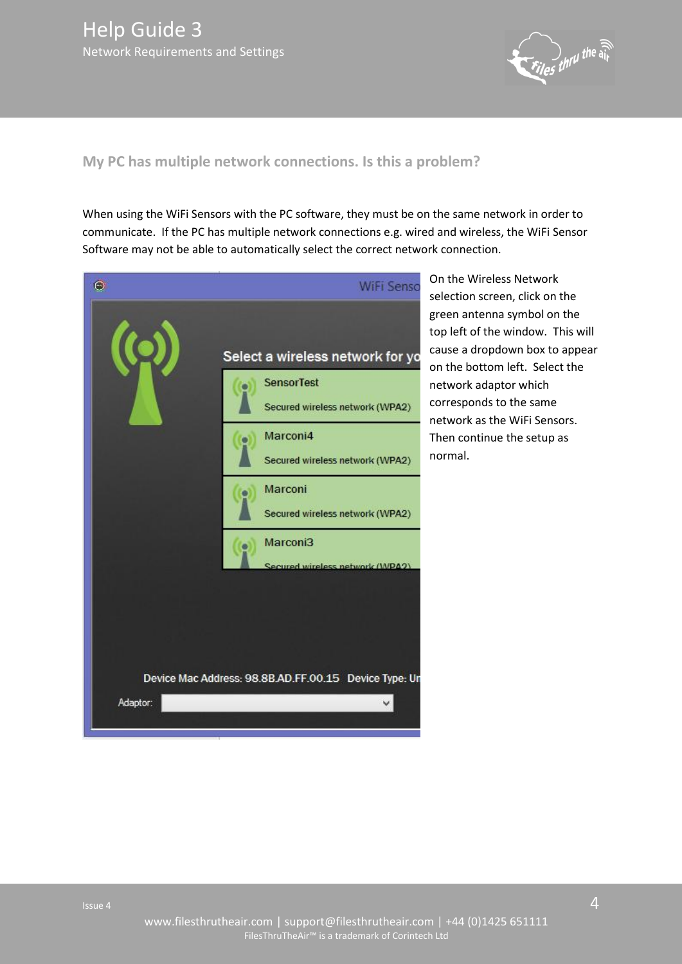

# <span id="page-3-2"></span><span id="page-3-0"></span>**My PC has multiple network connections. Is this a problem?**

When using the WiFi Sensors with the PC software, they must be on the same network in order to communicate. If the PC has multiple network connections e.g. wired and wireless, the WiFi Sensor Software may not be able to automatically select the correct network connection.

<span id="page-3-1"></span>

On the Wireless Network selection screen, click on the green antenna symbol on the top left of the window. This will cause a dropdown box to appear on the bottom left. Select the network adaptor which corresponds to the same network as the WiFi Sensors. Then continue the setup as normal.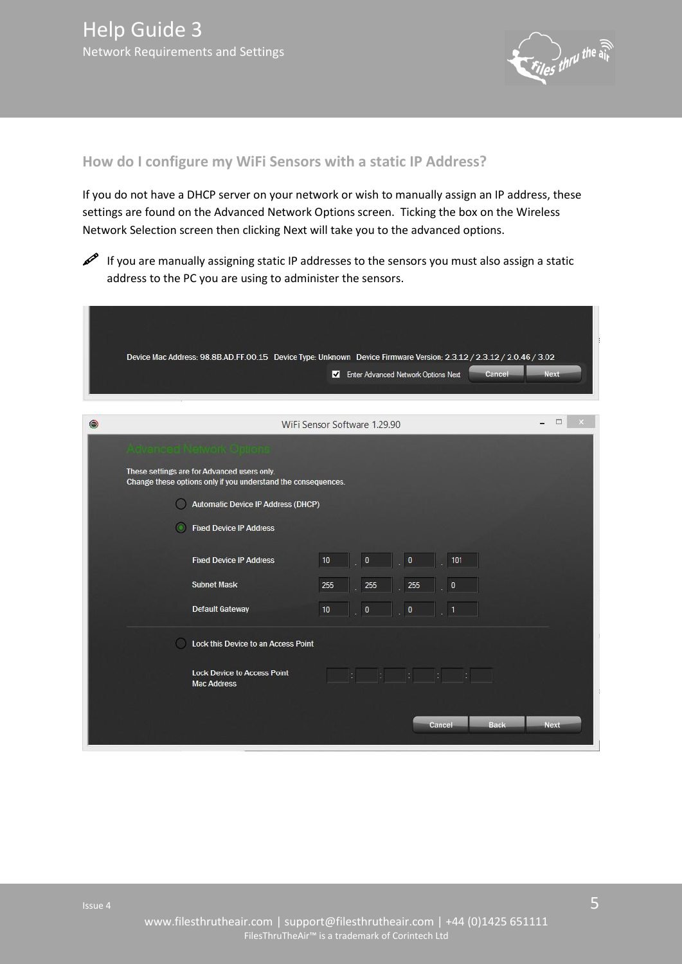

## <span id="page-4-0"></span>**How do I configure my WiFi Sensors with a static IP Address?**

If you do not have a DHCP server on your network or wish to manually assign an IP address, these settings are found on the Advanced Network Options screen. Ticking the box on the Wireless Network Selection screen then clicking Next will take you to the advanced options.



 If you are manually assigning static IP addresses to the sensors you must also assign a static address to the PC you are using to administer the sensors.

|   | Device Mac Address: 98.8B.AD.FF.00.15 Device Type: Unknown Device Firmware Version: 2.3.12 / 2.3.12 / 2.0.46 / 3.02 |                                               |             |
|---|---------------------------------------------------------------------------------------------------------------------|-----------------------------------------------|-------------|
|   |                                                                                                                     | Enter Advanced Network Options Next<br>Cancel | <b>Next</b> |
| ۵ | WiFi Sensor Software 1.29.90                                                                                        |                                               | □           |
|   | Advanced Methorik Options                                                                                           |                                               |             |
|   | These settings are for Advanced users only.<br>Change these options only if you understand the consequences.        |                                               |             |
|   | Automatic Device IP Address (DHCP)                                                                                  |                                               |             |
|   | <b>Fixed Device IP Address</b>                                                                                      |                                               |             |
|   | <b>Fixed Device IP Address</b><br>10                                                                                | 101<br>$\bf{0}$<br>$\mathbf{0}$               |             |
|   | <b>Subnet Mask</b><br>255                                                                                           | 255<br>255<br>0                               |             |
|   | <b>Default Gateway</b><br>10                                                                                        | $\pmb{0}$<br>$\bf{0}$                         |             |
|   | Lock this Device to an Access Point                                                                                 |                                               |             |
|   | <b>Lock Device to Access Point</b><br><b>Mac Address</b>                                                            |                                               |             |
|   |                                                                                                                     |                                               |             |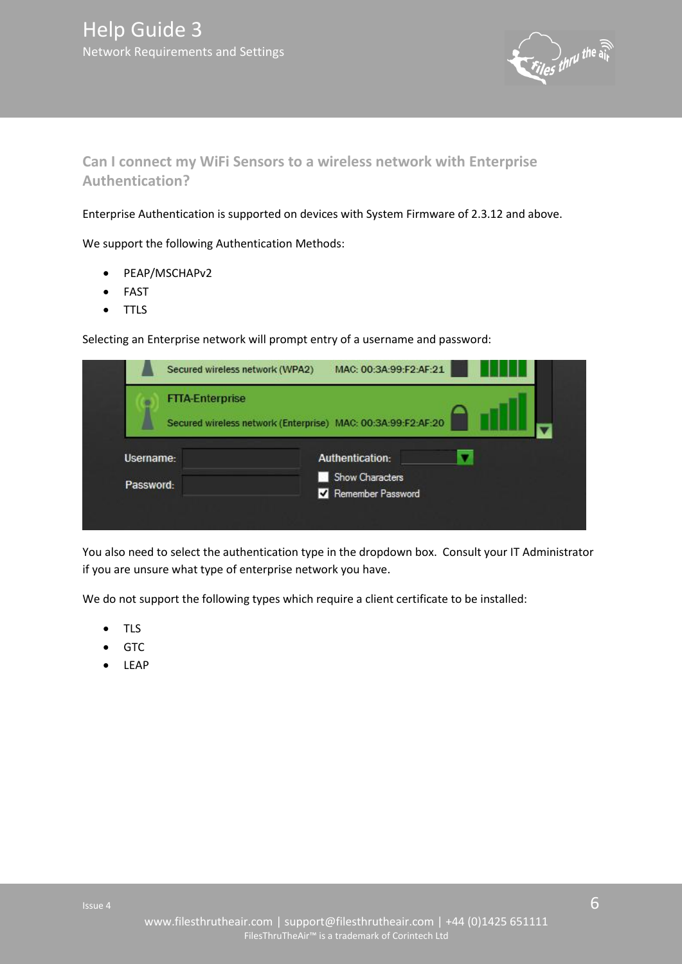

<span id="page-5-1"></span><span id="page-5-0"></span>**Can I connect my WiFi Sensors to a wireless network with Enterprise Authentication?** 

Enterprise Authentication is supported on devices with System Firmware of 2.3.12 and above.

We support the following Authentication Methods:

- PEAP/MSCHAPv2
- FAST
- TTLS

Selecting an Enterprise network will prompt entry of a username and password:

| Secured wireless network (WPA2) | MAC: 00:3A:99:F2:AF:21                                       |
|---------------------------------|--------------------------------------------------------------|
| <b>FTTA-Enterprise</b>          | Secured wireless network (Enterprise) MAC: 00:3A:99:F2:AF:20 |
| Username:<br>Password:          | Authentication:<br>Show Characters<br>Remember Password      |

You also need to select the authentication type in the dropdown box. Consult your IT Administrator if you are unsure what type of enterprise network you have.

We do not support the following types which require a client certificate to be installed:

- TLS
- $\bullet$  GTC
- LEAP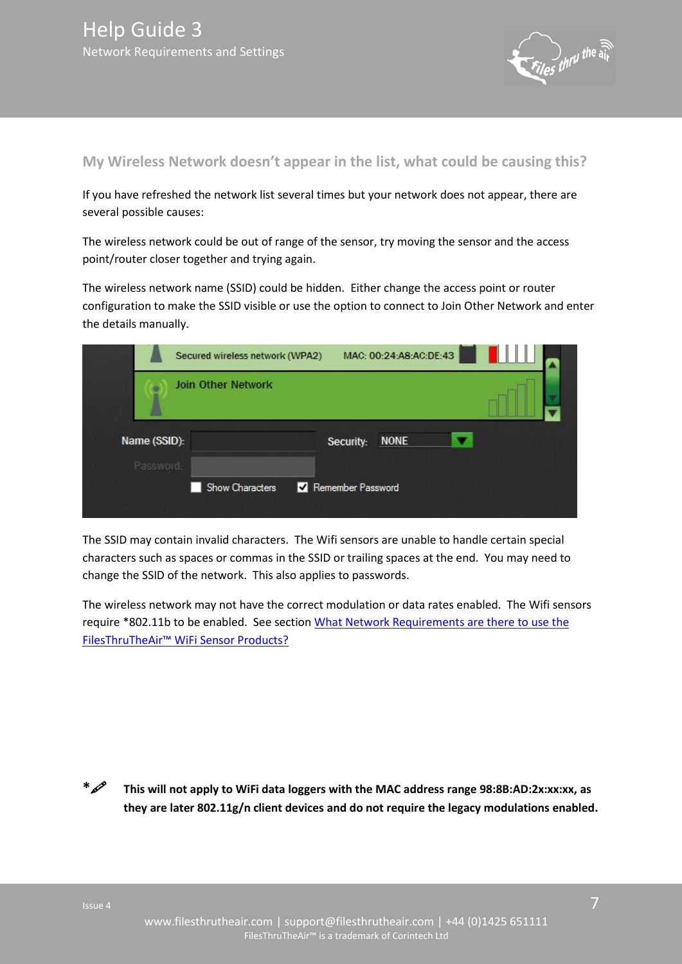

## <span id="page-6-0"></span>**My Wireless Network doesn't appear in the list, what could be causing this?**

If you have refreshed the network list several times but your network does not appear, there are several possible causes:

The wireless network could be out of range of the sensor, try moving the sensor and the access point/router closer together and trying again.

The wireless network name (SSID) could be hidden. Either change the access point or router configuration to make the SSID visible or use the option to connect to Join Other Network and enter the details manually.

|                           | Secured wireless network (WPA2) | MAC: 00:24:A8:AC:DE:43   |  |
|---------------------------|---------------------------------|--------------------------|--|
|                           | <b>Join Other Network</b>       |                          |  |
| Name (SSID):<br>Password: |                                 | <b>NONE</b><br>Security: |  |
|                           | Show Characters                 | Remember Password        |  |

The SSID may contain invalid characters. The Wifi sensors are unable to handle certain special characters such as spaces or commas in the SSID or trailing spaces at the end. You may need to change the SSID of the network. This also applies to passwords.

The wireless network may not have the correct modulation or data rates enabled. The Wifi sensors require \*802.11b to be enabled. See section [What Network Requirements are there to use the](#page-0-0)  FilesThruTheAir[™ WiFi Sensor Products?](#page-0-0)

**\* This will not apply to WiFi data loggers with the MAC address range 98:8B:AD:2x:xx:xx, as they are later 802.11g/n client devices and do not require the legacy modulations enabled.**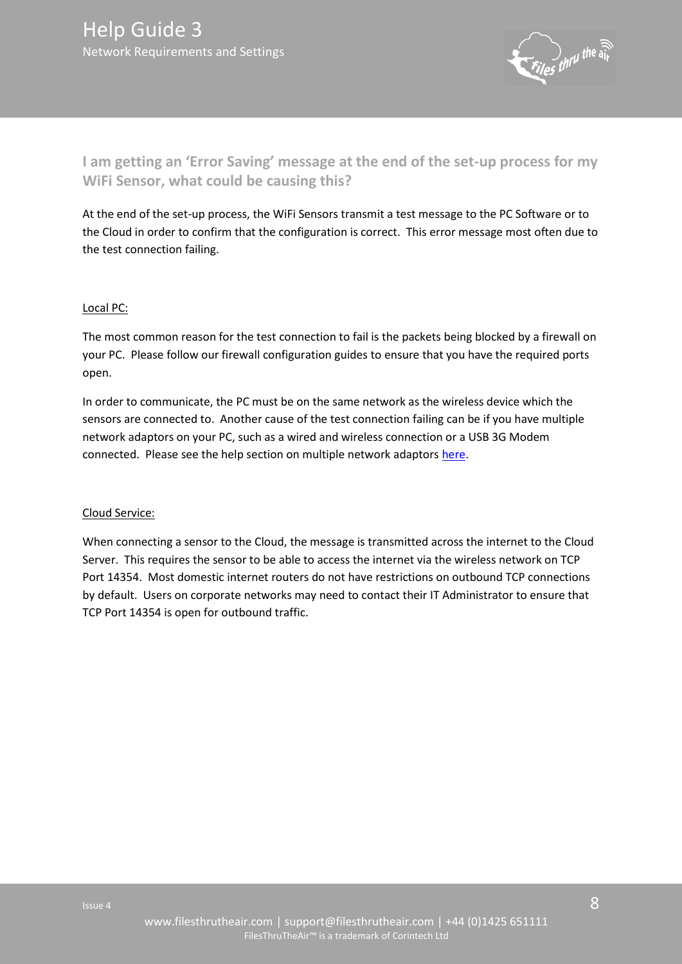

<span id="page-7-0"></span>**I am getting an 'Error Saving' message at the end of the set-up process for my WiFi Sensor, what could be causing this?** 

At the end of the set-up process, the WiFi Sensors transmit a test message to the PC Software or to the Cloud in order to confirm that the configuration is correct. This error message most often due to the test connection failing.

## Local PC:

The most common reason for the test connection to fail is the packets being blocked by a firewall on your PC. Please follow our firewall configuration guides to ensure that you have the required ports open.

In order to communicate, the PC must be on the same network as the wireless device which the sensors are connected to. Another cause of the test connection failing can be if you have multiple network adaptors on your PC, such as a wired and wireless connection or a USB 3G Modem connected. Please see the help section on multiple network adaptor[s here.](#page-3-2)

#### Cloud Service:

When connecting a sensor to the Cloud, the message is transmitted across the internet to the Cloud Server. This requires the sensor to be able to access the internet via the wireless network on TCP Port 14354. Most domestic internet routers do not have restrictions on outbound TCP connections by default. Users on corporate networks may need to contact their IT Administrator to ensure that TCP Port 14354 is open for outbound traffic.